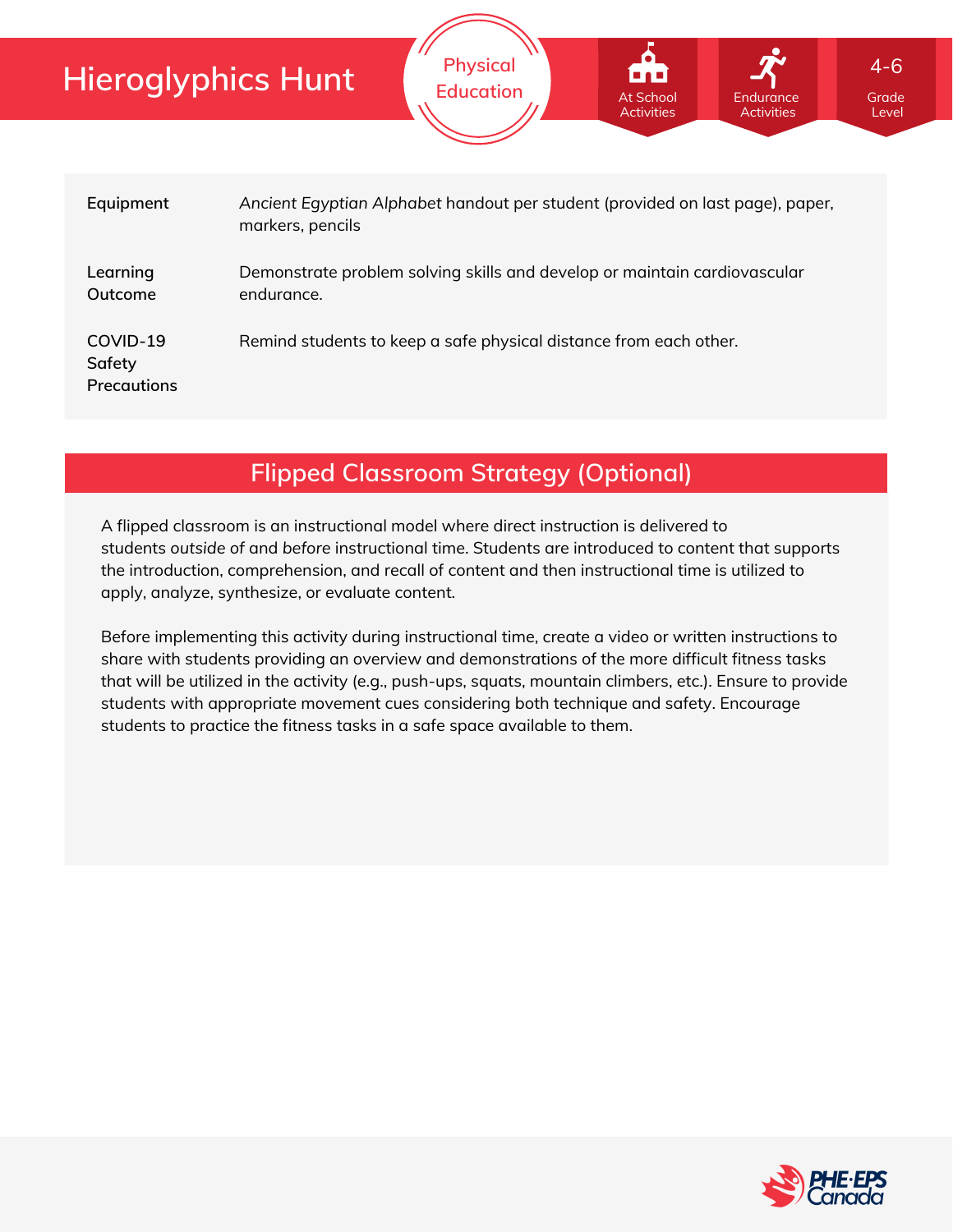| <b>Hieroglyphics Hunt</b>         |                  | <b>Physical</b><br><b>Education</b>                                           | At School<br><b>Activities</b> | Endurance<br><b>Activities</b> | $4 - 6$<br>Grade<br>Level |  |  |
|-----------------------------------|------------------|-------------------------------------------------------------------------------|--------------------------------|--------------------------------|---------------------------|--|--|
| Equipment                         | markers, pencils | Ancient Egyptian Alphabet handout per student (provided on last page), paper, |                                |                                |                           |  |  |
| Learning<br>Outcome               | endurance.       | Demonstrate problem solving skills and develop or maintain cardiovascular     |                                |                                |                           |  |  |
| COVID-19<br>Safety<br>Precautions |                  | Remind students to keep a safe physical distance from each other.             |                                |                                |                           |  |  |

### **Flipped Classroom Strategy (Optional)**

A flipped classroom is an instructional model where direct instruction is delivered to students *outside of* and *before* instructional time. Students are introduced to content that supports the introduction, comprehension, and recall of content and then instructional time is utilized to apply, analyze, synthesize, or evaluate content.

Before implementing this activity during instructional time, create a video or written instructions to share with students providing an overview and demonstrations of the more difficult fitness tasks that will be utilized in the activity (e.g., push-ups, squats, mountain climbers, etc.). Ensure to provide students with appropriate movement cues considering both technique and safety. Encourage students to practice the fitness tasks in a safe space available to them.

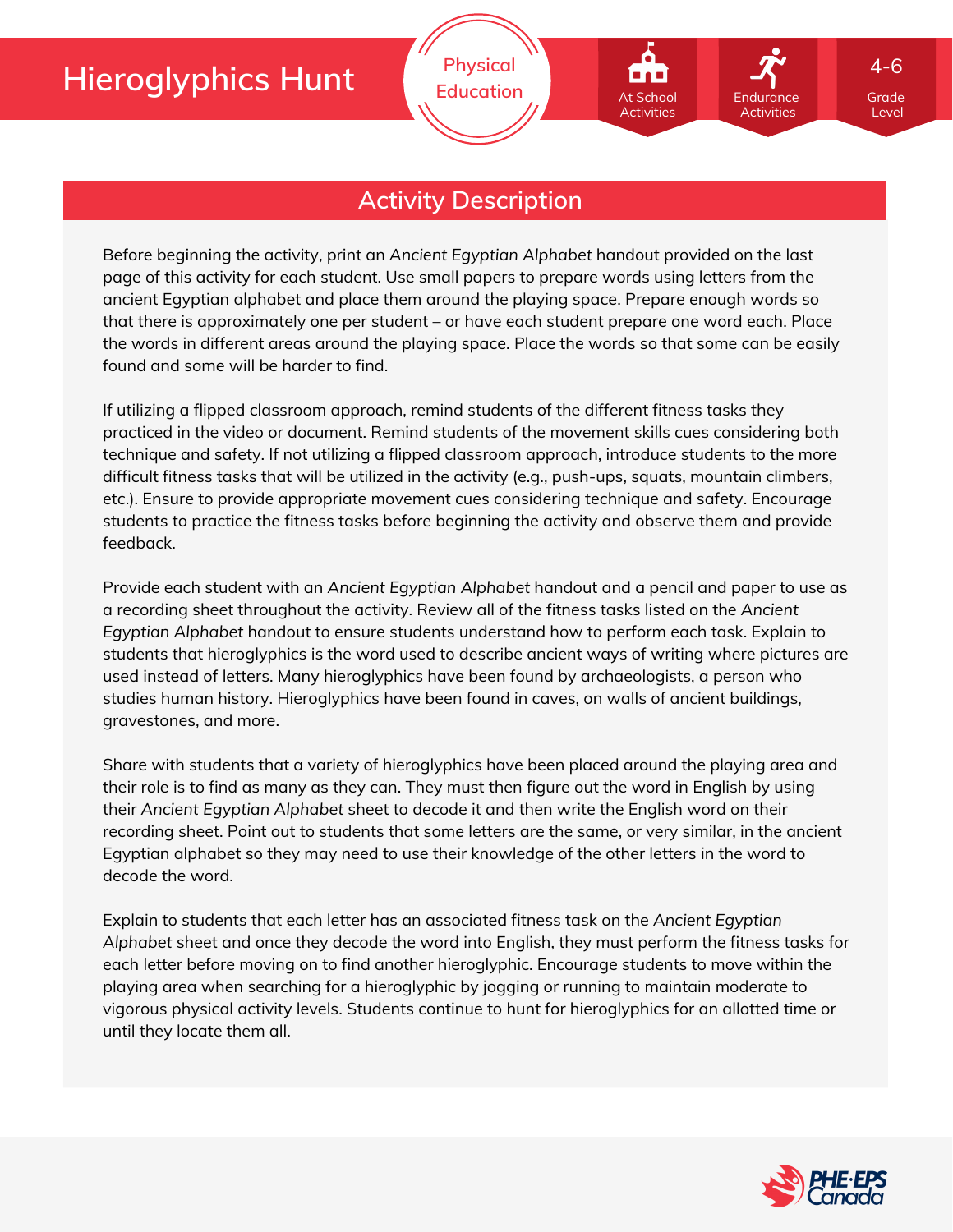At School Activities

### **Activity Description**

Before beginning the activity, print an *Ancient Egyptian Alphabet* handout provided on the last page of this activity for each student. Use small papers to prepare words using letters from the ancient Egyptian alphabet and place them around the playing space. Prepare enough words so that there is approximately one per student – or have each student prepare one word each. Place the words in different areas around the playing space. Place the words so that some can be easily found and some will be harder to find.

If utilizing a flipped classroom approach, remind students of the different fitness tasks they practiced in the video or document. Remind students of the movement skills cues considering both technique and safety. If not utilizing a flipped classroom approach, introduce students to the more difficult fitness tasks that will be utilized in the activity (e.g., push-ups, squats, mountain climbers, etc.). Ensure to provide appropriate movement cues considering technique and safety. Encourage students to practice the fitness tasks before beginning the activity and observe them and provide feedback.

Provide each student with an *Ancient Egyptian Alphabet* handout and a pencil and paper to use as a recording sheet throughout the activity. Review all of the fitness tasks listed on the *Ancient Egyptian Alphabet* handout to ensure students understand how to perform each task. Explain to students that hieroglyphics is the word used to describe ancient ways of writing where pictures are used instead of letters. Many hieroglyphics have been found by archaeologists, a person who studies human history. Hieroglyphics have been found in caves, on walls of ancient buildings, gravestones, and more.

Share with students that a variety of hieroglyphics have been placed around the playing area and their role is to find as many as they can. They must then figure out the word in English by using their *Ancient Egyptian Alphabet* sheet to decode it and then write the English word on their recording sheet. Point out to students that some letters are the same, or very similar, in the ancient Egyptian alphabet so they may need to use their knowledge of the other letters in the word to decode the word.

Explain to students that each letter has an associated fitness task on the *Ancient Egyptian Alphabet* sheet and once they decode the word into English, they must perform the fitness tasks for each letter before moving on to find another hieroglyphic. Encourage students to move within the playing area when searching for a hieroglyphic by jogging or running to maintain moderate to vigorous physical activity levels. Students continue to hunt for hieroglyphics for an allotted time or until they locate them all.



Grade Level

Endurance Activities

4-6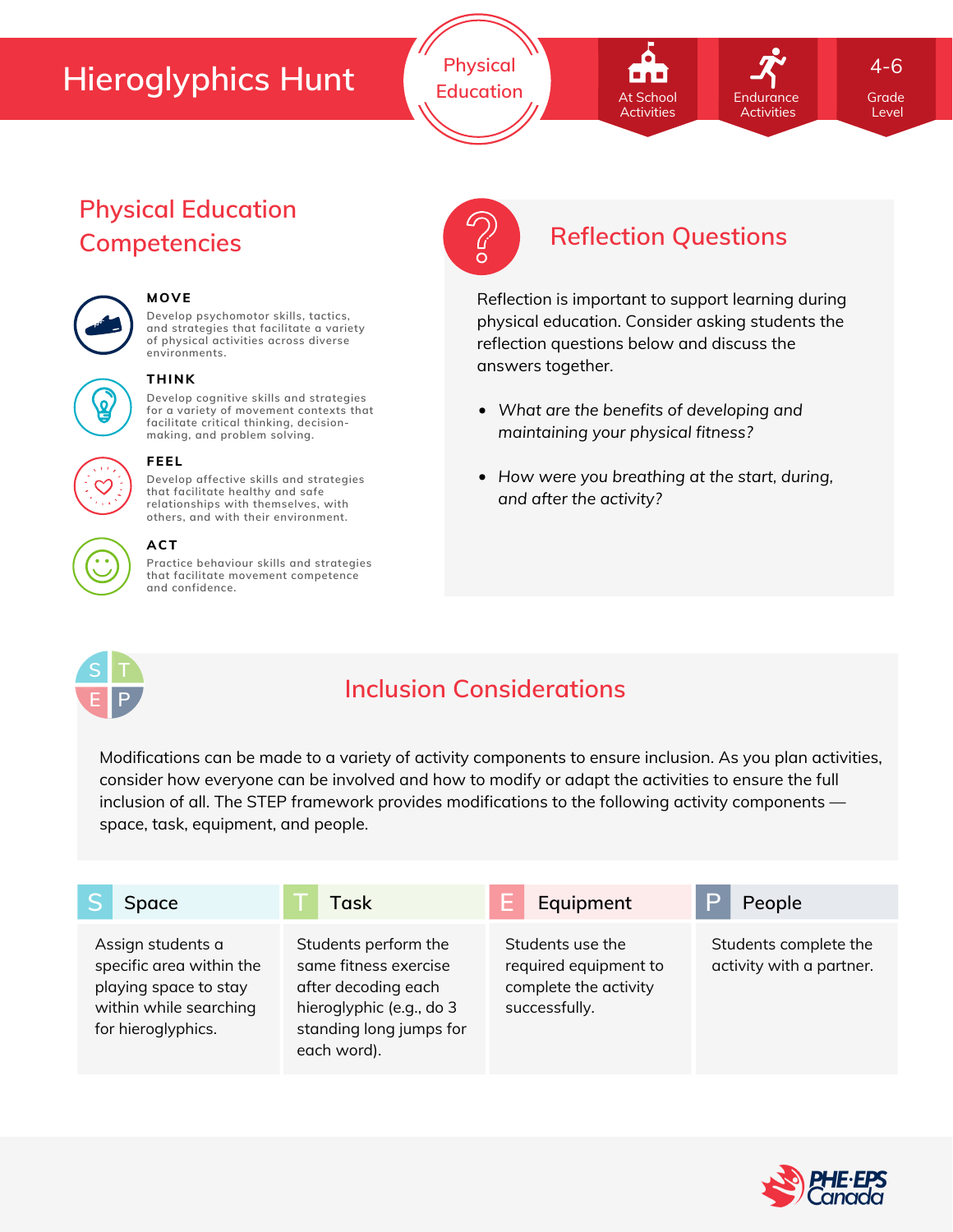**Physical Education Grade** At School **Container Endurance** Grade

# At School Activities

Endurance **Activities** 

4-6

Level

### **Physical Education Competencies Reflection Questions**



#### **MOVE**

**Develop psychomotor skills, tactics, and strategies that facilitate a variety of physical activities across diverse environments.**



#### **THINK**

**Develop cognitive skills and strategies for a variety of movement contexts that facilitate critical thinking, decision making, and problem solving.**



## **FEEL**

**Develop affective skills and strategies that facilitate healthy and safe relationships with themselves, with others, and with their environment.**

#### **ACT**

**Practice behaviour skills and strategies that facilitate movement competence and confidence.**



Reflection is important to support learning during physical education. Consider asking students the reflection questions below and discuss the answers together.

- *What are the benefits of developing and maintaining your physical fitness?*
- *How were you breathing at the start, during, and after the activity?*



### **Inclusion Considerations**

Modifications can be made to a variety of activity components to ensure inclusion. As you plan activities, consider how everyone can be involved and how to modify or adapt the activities to ensure the full inclusion of all. The STEP framework provides modifications to the following activity components space, task, equipment, and people.

| Space                                                                                                                  | Task                                                                                                                                       | Equipment<br>H                                                                      | P<br>People                                       |
|------------------------------------------------------------------------------------------------------------------------|--------------------------------------------------------------------------------------------------------------------------------------------|-------------------------------------------------------------------------------------|---------------------------------------------------|
| Assign students a<br>specific area within the<br>playing space to stay<br>within while searching<br>for hieroglyphics. | Students perform the<br>same fitness exercise<br>after decoding each<br>hieroglyphic (e.g., do 3<br>standing long jumps for<br>each word). | Students use the<br>required equipment to<br>complete the activity<br>successfully. | Students complete the<br>activity with a partner. |

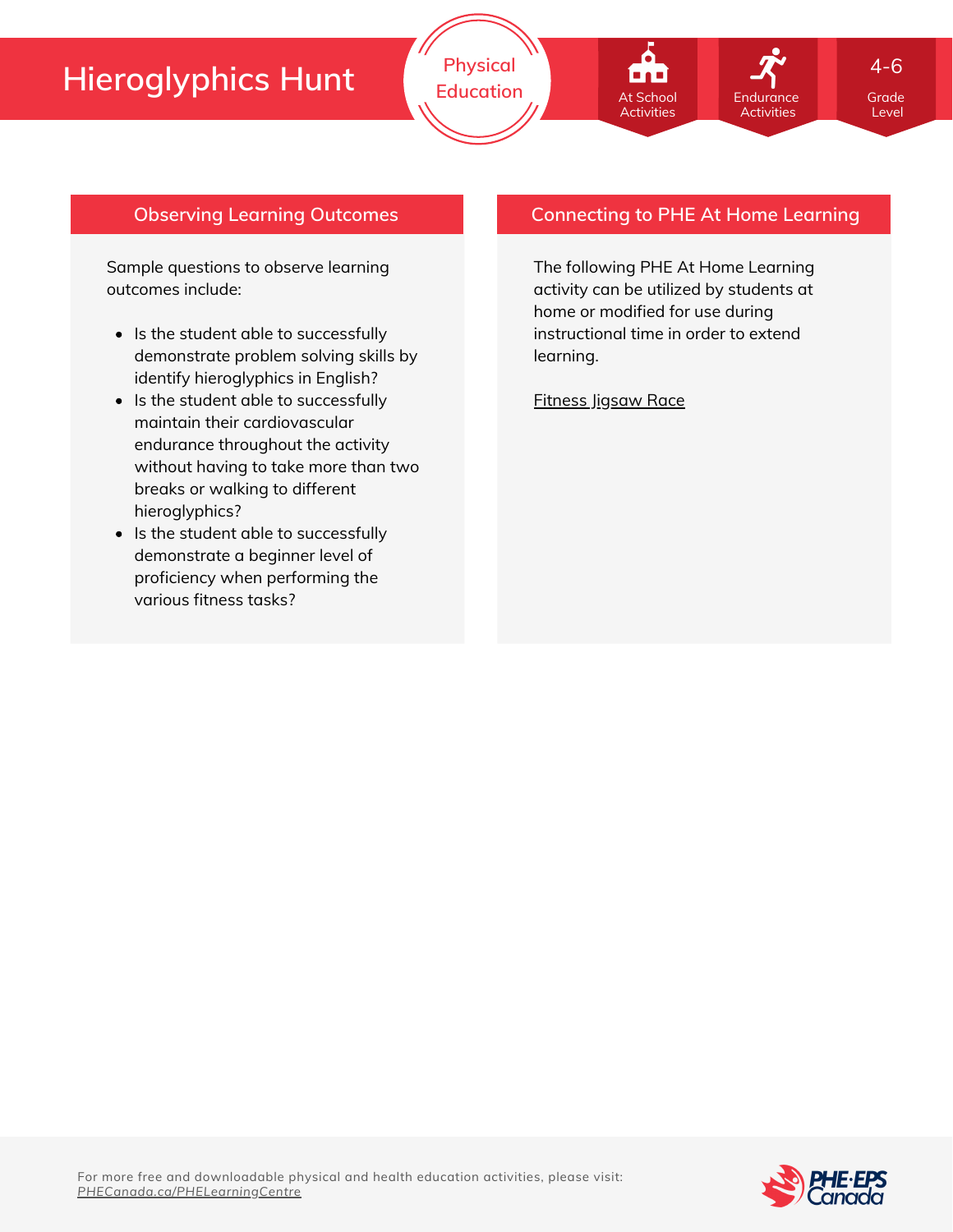



4-6

Level

#### **Observing Learning Outcomes**

Sample questions to observe learning outcomes include:

- Is the student able to successfully demonstrate problem solving skills by identify hieroglyphics in English?
- Is the student able to successfully maintain their cardiovascular endurance throughout the activity without having to take more than two breaks or walking to different hieroglyphics?
- Is the student able to successfully demonstrate a beginner level of proficiency when performing the various fitness tasks?

#### **Connecting to PHE At Home Learning**

**Endurance** Activities

The following PHE At Home Learning activity can be utilized by students at home or modified for use during instructional time in order to extend learning.

[Fitness](https://phecanada.ca/sites/default/files/content/docs/Home%20Learning%20Resource/4-6/Physical%20Education/4-6%20PE_Fitness%20Jigsaw%20Race.pdf) Jigsaw Race